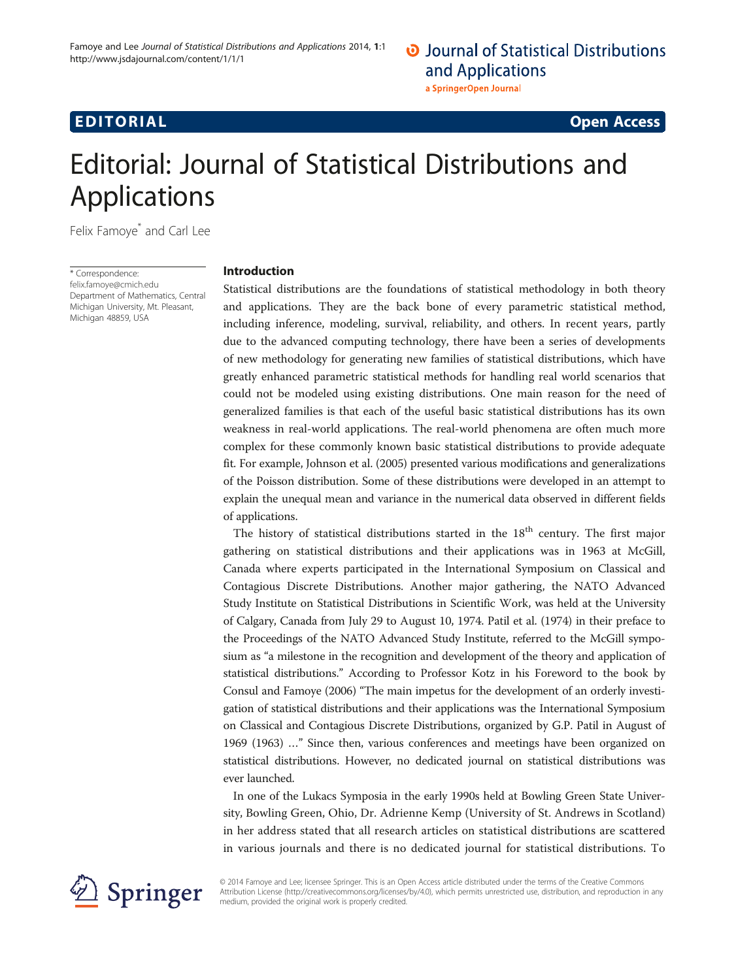# **EDITORIAL** CONTROL CONTROL CONTROL CONTROL CONTROL CONTROL CONTROL CONTROL CONTROL CONTROL CONTROL CONTROL CONTROL CONTROL CONTROL CONTROL CONTROL CONTROL CONTROL CONTROL CONTROL CONTROL CONTROL CONTROL CONTROL CONTROL CO

# Editorial: Journal of Statistical Distributions and Applications

Felix Famoye<sup>\*</sup> and Carl Lee

\* Correspondence: [felix.famoye@cmich.edu](mailto:felix.famoye@cmich.edu) Department of Mathematics, Central Michigan University, Mt. Pleasant, Michigan 48859, USA

## Introduction

Statistical distributions are the foundations of statistical methodology in both theory and applications. They are the back bone of every parametric statistical method, including inference, modeling, survival, reliability, and others. In recent years, partly due to the advanced computing technology, there have been a series of developments of new methodology for generating new families of statistical distributions, which have greatly enhanced parametric statistical methods for handling real world scenarios that could not be modeled using existing distributions. One main reason for the need of generalized families is that each of the useful basic statistical distributions has its own weakness in real-world applications. The real-world phenomena are often much more complex for these commonly known basic statistical distributions to provide adequate fit. For example, Johnson et al. [\(2005\)](#page-2-0) presented various modifications and generalizations of the Poisson distribution. Some of these distributions were developed in an attempt to explain the unequal mean and variance in the numerical data observed in different fields of applications.

The history of statistical distributions started in the 18<sup>th</sup> century. The first major gathering on statistical distributions and their applications was in 1963 at McGill, Canada where experts participated in the International Symposium on Classical and Contagious Discrete Distributions. Another major gathering, the NATO Advanced Study Institute on Statistical Distributions in Scientific Work, was held at the University of Calgary, Canada from July 29 to August 10, 1974. Patil et al. ([1974](#page-2-0)) in their preface to the Proceedings of the NATO Advanced Study Institute, referred to the McGill symposium as "a milestone in the recognition and development of the theory and application of statistical distributions." According to Professor Kotz in his Foreword to the book by Consul and Famoye [\(2006](#page-2-0)) "The main impetus for the development of an orderly investigation of statistical distributions and their applications was the International Symposium on Classical and Contagious Discrete Distributions, organized by G.P. Patil in August of 1969 (1963) …" Since then, various conferences and meetings have been organized on statistical distributions. However, no dedicated journal on statistical distributions was ever launched.

In one of the Lukacs Symposia in the early 1990s held at Bowling Green State University, Bowling Green, Ohio, Dr. Adrienne Kemp (University of St. Andrews in Scotland) in her address stated that all research articles on statistical distributions are scattered in various journals and there is no dedicated journal for statistical distributions. To



© 2014 Famoye and Lee; licensee Springer. This is an Open Access article distributed under the terms of the Creative Commons Attribution License [\(http://creativecommons.org/licenses/by/4.0\)](http://creativecommons.org/licenses/by/4.0), which permits unrestricted use, distribution, and reproduction in any medium, provided the original work is properly credited.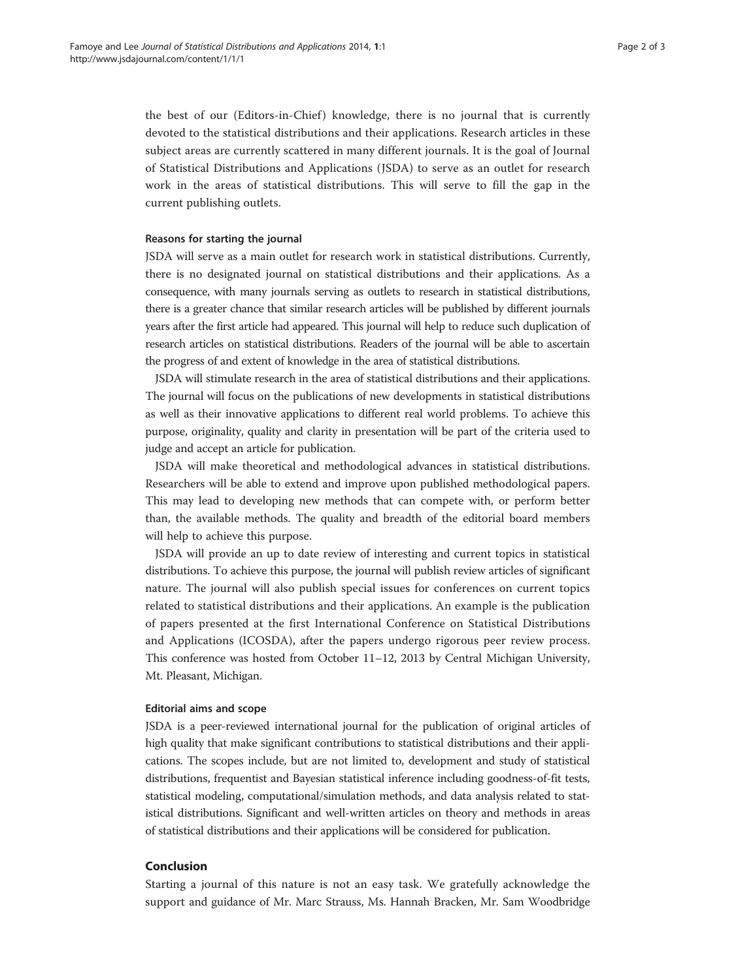the best of our (Editors-in-Chief) knowledge, there is no journal that is currently devoted to the statistical distributions and their applications. Research articles in these subject areas are currently scattered in many different journals. It is the goal of Journal of Statistical Distributions and Applications (JSDA) to serve as an outlet for research work in the areas of statistical distributions. This will serve to fill the gap in the current publishing outlets.

#### Reasons for starting the journal

JSDA will serve as a main outlet for research work in statistical distributions. Currently, there is no designated journal on statistical distributions and their applications. As a consequence, with many journals serving as outlets to research in statistical distributions, there is a greater chance that similar research articles will be published by different journals years after the first article had appeared. This journal will help to reduce such duplication of research articles on statistical distributions. Readers of the journal will be able to ascertain the progress of and extent of knowledge in the area of statistical distributions.

JSDA will stimulate research in the area of statistical distributions and their applications. The journal will focus on the publications of new developments in statistical distributions as well as their innovative applications to different real world problems. To achieve this purpose, originality, quality and clarity in presentation will be part of the criteria used to judge and accept an article for publication.

JSDA will make theoretical and methodological advances in statistical distributions. Researchers will be able to extend and improve upon published methodological papers. This may lead to developing new methods that can compete with, or perform better than, the available methods. The quality and breadth of the editorial board members will help to achieve this purpose.

JSDA will provide an up to date review of interesting and current topics in statistical distributions. To achieve this purpose, the journal will publish review articles of significant nature. The journal will also publish special issues for conferences on current topics related to statistical distributions and their applications. An example is the publication of papers presented at the first International Conference on Statistical Distributions and Applications (ICOSDA), after the papers undergo rigorous peer review process. This conference was hosted from October 11–12, 2013 by Central Michigan University, Mt. Pleasant, Michigan.

#### Editorial aims and scope

JSDA is a peer-reviewed international journal for the publication of original articles of high quality that make significant contributions to statistical distributions and their applications. The scopes include, but are not limited to, development and study of statistical distributions, frequentist and Bayesian statistical inference including goodness-of-fit tests, statistical modeling, computational/simulation methods, and data analysis related to statistical distributions. Significant and well-written articles on theory and methods in areas of statistical distributions and their applications will be considered for publication.

### Conclusion

Starting a journal of this nature is not an easy task. We gratefully acknowledge the support and guidance of Mr. Marc Strauss, Ms. Hannah Bracken, Mr. Sam Woodbridge